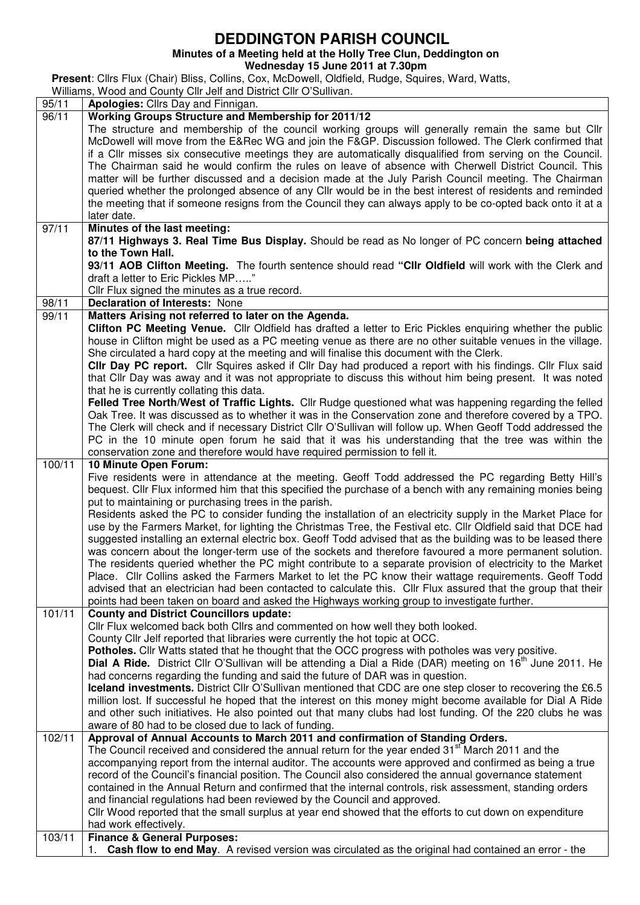## **DEDDINGTON PARISH COUNCIL**

|                    | Minutes of a Meeting held at the Holly Tree Clun, Deddington on                                                                                                                                                                                                                                                                                                                                                                                                                                                                                                                                                                                                                                                                                                                                                                                                                                                                                                                                                                                                                                                                                                                                           |
|--------------------|-----------------------------------------------------------------------------------------------------------------------------------------------------------------------------------------------------------------------------------------------------------------------------------------------------------------------------------------------------------------------------------------------------------------------------------------------------------------------------------------------------------------------------------------------------------------------------------------------------------------------------------------------------------------------------------------------------------------------------------------------------------------------------------------------------------------------------------------------------------------------------------------------------------------------------------------------------------------------------------------------------------------------------------------------------------------------------------------------------------------------------------------------------------------------------------------------------------|
|                    | Wednesday 15 June 2011 at 7.30pm                                                                                                                                                                                                                                                                                                                                                                                                                                                                                                                                                                                                                                                                                                                                                                                                                                                                                                                                                                                                                                                                                                                                                                          |
|                    | Present: Cllrs Flux (Chair) Bliss, Collins, Cox, McDowell, Oldfield, Rudge, Squires, Ward, Watts,                                                                                                                                                                                                                                                                                                                                                                                                                                                                                                                                                                                                                                                                                                                                                                                                                                                                                                                                                                                                                                                                                                         |
|                    | Williams, Wood and County Cllr Jelf and District Cllr O'Sullivan.                                                                                                                                                                                                                                                                                                                                                                                                                                                                                                                                                                                                                                                                                                                                                                                                                                                                                                                                                                                                                                                                                                                                         |
| $\overline{9}5/11$ | Apologies: Cllrs Day and Finnigan.                                                                                                                                                                                                                                                                                                                                                                                                                                                                                                                                                                                                                                                                                                                                                                                                                                                                                                                                                                                                                                                                                                                                                                        |
| 96/11              | <b>Working Groups Structure and Membership for 2011/12</b>                                                                                                                                                                                                                                                                                                                                                                                                                                                                                                                                                                                                                                                                                                                                                                                                                                                                                                                                                                                                                                                                                                                                                |
|                    | The structure and membership of the council working groups will generally remain the same but Cllr<br>McDowell will move from the E&Rec WG and join the F&GP. Discussion followed. The Clerk confirmed that<br>if a Cllr misses six consecutive meetings they are automatically disqualified from serving on the Council.<br>The Chairman said he would confirm the rules on leave of absence with Cherwell District Council. This<br>matter will be further discussed and a decision made at the July Parish Council meeting. The Chairman<br>queried whether the prolonged absence of any Cllr would be in the best interest of residents and reminded<br>the meeting that if someone resigns from the Council they can always apply to be co-opted back onto it at a<br>later date.                                                                                                                                                                                                                                                                                                                                                                                                                    |
| 97/11              | Minutes of the last meeting:                                                                                                                                                                                                                                                                                                                                                                                                                                                                                                                                                                                                                                                                                                                                                                                                                                                                                                                                                                                                                                                                                                                                                                              |
|                    | 87/11 Highways 3. Real Time Bus Display. Should be read as No longer of PC concern being attached<br>to the Town Hall.<br>93/11 AOB Clifton Meeting. The fourth sentence should read "Cllr Oldfield will work with the Clerk and<br>draft a letter to Eric Pickles MP"<br>Cllr Flux signed the minutes as a true record.                                                                                                                                                                                                                                                                                                                                                                                                                                                                                                                                                                                                                                                                                                                                                                                                                                                                                  |
| $\overline{98}/11$ | <b>Declaration of Interests: None</b>                                                                                                                                                                                                                                                                                                                                                                                                                                                                                                                                                                                                                                                                                                                                                                                                                                                                                                                                                                                                                                                                                                                                                                     |
| $\frac{1}{99/1}$ 1 | Matters Arising not referred to later on the Agenda.<br>Clifton PC Meeting Venue. Cllr Oldfield has drafted a letter to Eric Pickles enquiring whether the public<br>house in Clifton might be used as a PC meeting venue as there are no other suitable venues in the village.<br>She circulated a hard copy at the meeting and will finalise this document with the Clerk.<br>CIIr Day PC report. Cllr Squires asked if Cllr Day had produced a report with his findings. Cllr Flux said<br>that Cllr Day was away and it was not appropriate to discuss this without him being present. It was noted<br>that he is currently collating this data.<br>Felled Tree North/West of Traffic Lights. Cllr Rudge questioned what was happening regarding the felled<br>Oak Tree. It was discussed as to whether it was in the Conservation zone and therefore covered by a TPO.<br>The Clerk will check and if necessary District Cllr O'Sullivan will follow up. When Geoff Todd addressed the<br>PC in the 10 minute open forum he said that it was his understanding that the tree was within the<br>conservation zone and therefore would have required permission to fell it.                            |
| 100/11             | 10 Minute Open Forum:<br>Five residents were in attendance at the meeting. Geoff Todd addressed the PC regarding Betty Hill's<br>bequest. Cllr Flux informed him that this specified the purchase of a bench with any remaining monies being<br>put to maintaining or purchasing trees in the parish.<br>Residents asked the PC to consider funding the installation of an electricity supply in the Market Place for<br>use by the Farmers Market, for lighting the Christmas Tree, the Festival etc. Cllr Oldfield said that DCE had<br>suggested installing an external electric box. Geoff Todd advised that as the building was to be leased there<br>was concern about the longer-term use of the sockets and therefore favoured a more permanent solution.<br>The residents queried whether the PC might contribute to a separate provision of electricity to the Market<br>Place. Cllr Collins asked the Farmers Market to let the PC know their wattage requirements. Geoff Todd<br>advised that an electrician had been contacted to calculate this. Cllr Flux assured that the group that their<br>points had been taken on board and asked the Highways working group to investigate further. |
| 101/11<br>102/11   | <b>County and District Councillors update:</b><br>Cllr Flux welcomed back both Cllrs and commented on how well they both looked.<br>County Cllr Jelf reported that libraries were currently the hot topic at OCC.<br>Potholes. Cllr Watts stated that he thought that the OCC progress with potholes was very positive.<br><b>Dial A Ride.</b> District Cllr O'Sullivan will be attending a Dial a Ride (DAR) meeting on 16 <sup>th</sup> June 2011. He<br>had concerns regarding the funding and said the future of DAR was in question.<br><b>Iceland investments.</b> District Cllr O'Sullivan mentioned that CDC are one step closer to recovering the £6.5<br>million lost. If successful he hoped that the interest on this money might become available for Dial A Ride<br>and other such initiatives. He also pointed out that many clubs had lost funding. Of the 220 clubs he was<br>aware of 80 had to be closed due to lack of funding.<br>Approval of Annual Accounts to March 2011 and confirmation of Standing Orders.                                                                                                                                                                     |
|                    | The Council received and considered the annual return for the year ended 31 <sup>st</sup> March 2011 and the<br>companying roport from the internal quditor. The accounts were approved and confirmed as being a true                                                                                                                                                                                                                                                                                                                                                                                                                                                                                                                                                                                                                                                                                                                                                                                                                                                                                                                                                                                     |

accompanying report from the internal auditor. The accounts were approved and confirmed as being a true record of the Council's financial position. The Council also considered the annual governance statement contained in the Annual Return and confirmed that the internal controls, risk assessment, standing orders and financial regulations had been reviewed by the Council and approved. Cllr Wood reported that the small surplus at year end showed that the efforts to cut down on expenditure

had work effectively.

| 103/11   Finance & General Purposes:                                                                   |  |  |  |  |  |  |
|--------------------------------------------------------------------------------------------------------|--|--|--|--|--|--|
| 1. Cash flow to end May. A revised version was circulated as the original had contained an error - the |  |  |  |  |  |  |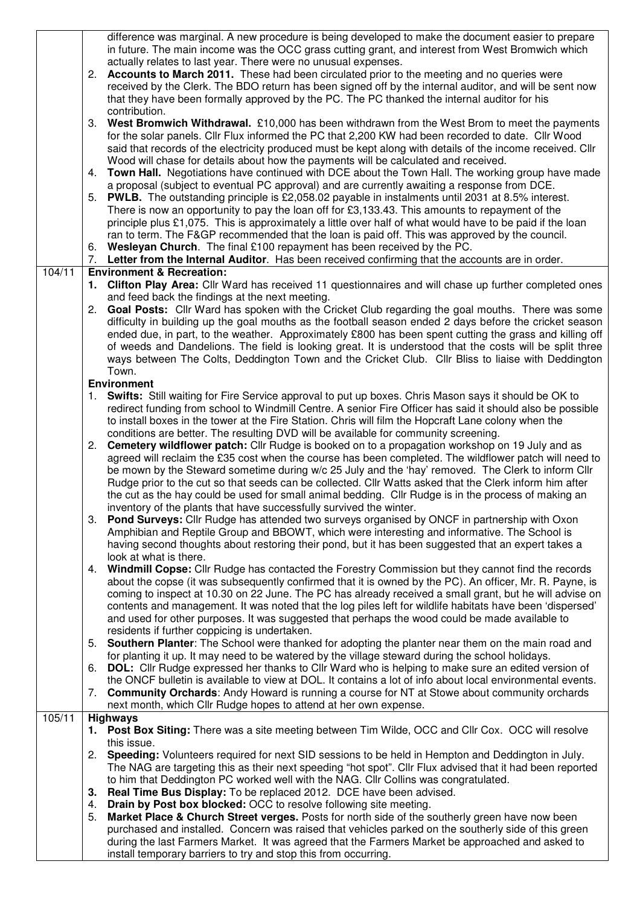|        | difference was marginal. A new procedure is being developed to make the document easier to prepare                                                                                                                  |
|--------|---------------------------------------------------------------------------------------------------------------------------------------------------------------------------------------------------------------------|
|        | in future. The main income was the OCC grass cutting grant, and interest from West Bromwich which                                                                                                                   |
|        | actually relates to last year. There were no unusual expenses.                                                                                                                                                      |
|        | 2. Accounts to March 2011. These had been circulated prior to the meeting and no queries were<br>received by the Clerk. The BDO return has been signed off by the internal auditor, and will be sent now            |
|        | that they have been formally approved by the PC. The PC thanked the internal auditor for his                                                                                                                        |
|        | contribution.                                                                                                                                                                                                       |
|        | 3. West Bromwich Withdrawal. £10,000 has been withdrawn from the West Brom to meet the payments                                                                                                                     |
|        | for the solar panels. Cllr Flux informed the PC that 2,200 KW had been recorded to date. Cllr Wood                                                                                                                  |
|        | said that records of the electricity produced must be kept along with details of the income received. Cllr                                                                                                          |
|        | Wood will chase for details about how the payments will be calculated and received.                                                                                                                                 |
|        | <b>Town Hall.</b> Negotiations have continued with DCE about the Town Hall. The working group have made<br>4.                                                                                                       |
|        | a proposal (subject to eventual PC approval) and are currently awaiting a response from DCE.                                                                                                                        |
|        | 5. PWLB. The outstanding principle is £2,058.02 payable in instalments until 2031 at 8.5% interest.                                                                                                                 |
|        | There is now an opportunity to pay the loan off for £3,133.43. This amounts to repayment of the                                                                                                                     |
|        | principle plus £1,075. This is approximately a little over half of what would have to be paid if the loan                                                                                                           |
|        | ran to term. The F&GP recommended that the loan is paid off. This was approved by the council.                                                                                                                      |
|        | 6. Wesleyan Church. The final £100 repayment has been received by the PC.                                                                                                                                           |
|        | 7. Letter from the Internal Auditor. Has been received confirming that the accounts are in order.                                                                                                                   |
| 104/11 | <b>Environment &amp; Recreation:</b><br>1. Clifton Play Area: Cllr Ward has received 11 questionnaires and will chase up further completed ones                                                                     |
|        | and feed back the findings at the next meeting.                                                                                                                                                                     |
|        | 2. Goal Posts: Cllr Ward has spoken with the Cricket Club regarding the goal mouths. There was some                                                                                                                 |
|        | difficulty in building up the goal mouths as the football season ended 2 days before the cricket season                                                                                                             |
|        | ended due, in part, to the weather. Approximately £800 has been spent cutting the grass and killing off                                                                                                             |
|        | of weeds and Dandelions. The field is looking great. It is understood that the costs will be split three                                                                                                            |
|        | ways between The Colts, Deddington Town and the Cricket Club. Cllr Bliss to liaise with Deddington                                                                                                                  |
|        | Town.                                                                                                                                                                                                               |
|        | <b>Environment</b>                                                                                                                                                                                                  |
|        | 1. Swifts: Still waiting for Fire Service approval to put up boxes. Chris Mason says it should be OK to                                                                                                             |
|        | redirect funding from school to Windmill Centre. A senior Fire Officer has said it should also be possible                                                                                                          |
|        | to install boxes in the tower at the Fire Station. Chris will film the Hopcraft Lane colony when the                                                                                                                |
|        | conditions are better. The resulting DVD will be available for community screening.<br>2. Cemetery wildflower patch: Cllr Rudge is booked on to a propagation workshop on 19 July and as                            |
|        | agreed will reclaim the £35 cost when the course has been completed. The wildflower patch will need to                                                                                                              |
|        | be mown by the Steward sometime during w/c 25 July and the 'hay' removed. The Clerk to inform Cllr                                                                                                                  |
|        | Rudge prior to the cut so that seeds can be collected. Cllr Watts asked that the Clerk inform him after                                                                                                             |
|        | the cut as the hay could be used for small animal bedding. Cllr Rudge is in the process of making an                                                                                                                |
|        | inventory of the plants that have successfully survived the winter.                                                                                                                                                 |
|        | 3. Pond Surveys: Cllr Rudge has attended two surveys organised by ONCF in partnership with Oxon                                                                                                                     |
|        | Amphibian and Reptile Group and BBOWT, which were interesting and informative. The School is                                                                                                                        |
|        | having second thoughts about restoring their pond, but it has been suggested that an expert takes a                                                                                                                 |
|        | look at what is there.                                                                                                                                                                                              |
|        | 4. Windmill Copse: Cllr Rudge has contacted the Forestry Commission but they cannot find the records                                                                                                                |
|        | about the copse (it was subsequently confirmed that it is owned by the PC). An officer, Mr. R. Payne, is<br>coming to inspect at 10.30 on 22 June. The PC has already received a small grant, but he will advise on |
|        | contents and management. It was noted that the log piles left for wildlife habitats have been 'dispersed'                                                                                                           |
|        | and used for other purposes. It was suggested that perhaps the wood could be made available to                                                                                                                      |
|        | residents if further coppicing is undertaken.                                                                                                                                                                       |
|        | Southern Planter: The School were thanked for adopting the planter near them on the main road and<br>5.                                                                                                             |
|        | for planting it up. It may need to be watered by the village steward during the school holidays.                                                                                                                    |
|        | DOL: Cllr Rudge expressed her thanks to Cllr Ward who is helping to make sure an edited version of<br>6.                                                                                                            |
|        | the ONCF bulletin is available to view at DOL. It contains a lot of info about local environmental events.                                                                                                          |
|        | <b>Community Orchards:</b> Andy Howard is running a course for NT at Stowe about community orchards<br>7.                                                                                                           |
|        | next month, which Cllr Rudge hopes to attend at her own expense.                                                                                                                                                    |
| 105/11 | <b>Highways</b>                                                                                                                                                                                                     |
|        | 1. Post Box Siting: There was a site meeting between Tim Wilde, OCC and Cllr Cox. OCC will resolve<br>this issue.                                                                                                   |
|        | 2. Speeding: Volunteers required for next SID sessions to be held in Hempton and Deddington in July.                                                                                                                |
|        | The NAG are targeting this as their next speeding "hot spot". Cllr Flux advised that it had been reported                                                                                                           |
|        | to him that Deddington PC worked well with the NAG. Cllr Collins was congratulated.                                                                                                                                 |
|        | 3. Real Time Bus Display: To be replaced 2012. DCE have been advised.                                                                                                                                               |
|        | Drain by Post box blocked: OCC to resolve following site meeting.<br>4.                                                                                                                                             |
|        | Market Place & Church Street verges. Posts for north side of the southerly green have now been<br>5.                                                                                                                |
|        | purchased and installed. Concern was raised that vehicles parked on the southerly side of this green                                                                                                                |
|        | during the last Farmers Market. It was agreed that the Farmers Market be approached and asked to                                                                                                                    |
|        | install temporary barriers to try and stop this from occurring.                                                                                                                                                     |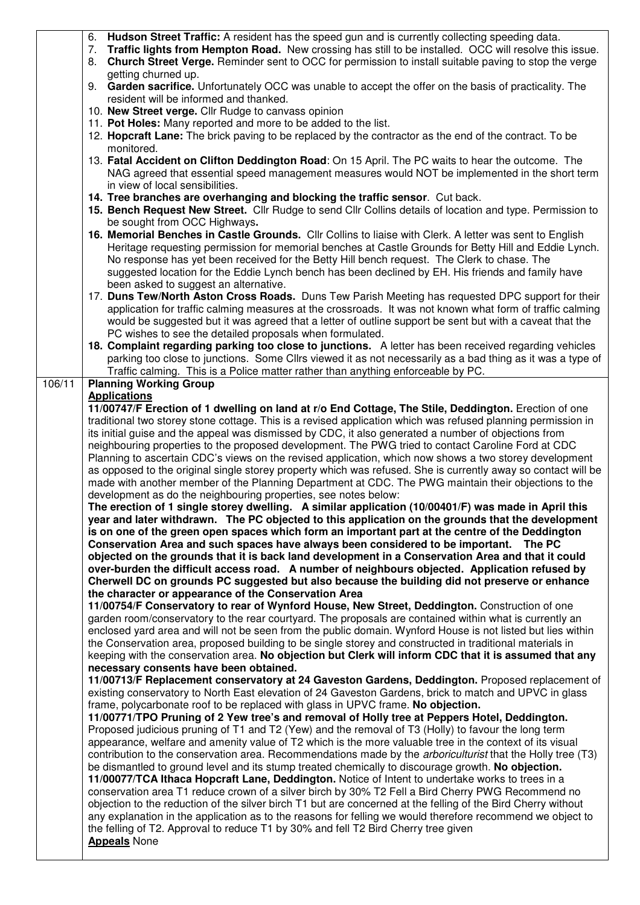|        | <b>Hudson Street Traffic:</b> A resident has the speed gun and is currently collecting speeding data.<br>6.                                                                                                          |  |  |  |  |  |  |
|--------|----------------------------------------------------------------------------------------------------------------------------------------------------------------------------------------------------------------------|--|--|--|--|--|--|
|        | 7. Traffic lights from Hempton Road. New crossing has still to be installed. OCC will resolve this issue.                                                                                                            |  |  |  |  |  |  |
|        | <b>Church Street Verge.</b> Reminder sent to OCC for permission to install suitable paving to stop the verge<br>8.                                                                                                   |  |  |  |  |  |  |
|        | getting churned up.                                                                                                                                                                                                  |  |  |  |  |  |  |
|        | 9. Garden sacrifice. Unfortunately OCC was unable to accept the offer on the basis of practicality. The                                                                                                              |  |  |  |  |  |  |
|        | resident will be informed and thanked.                                                                                                                                                                               |  |  |  |  |  |  |
|        | 10. New Street verge. Cllr Rudge to canvass opinion                                                                                                                                                                  |  |  |  |  |  |  |
|        | 11. Pot Holes: Many reported and more to be added to the list.<br>12. Hopcraft Lane: The brick paving to be replaced by the contractor as the end of the contract. To be                                             |  |  |  |  |  |  |
|        | monitored.                                                                                                                                                                                                           |  |  |  |  |  |  |
|        | 13. Fatal Accident on Clifton Deddington Road: On 15 April. The PC waits to hear the outcome. The                                                                                                                    |  |  |  |  |  |  |
|        | NAG agreed that essential speed management measures would NOT be implemented in the short term                                                                                                                       |  |  |  |  |  |  |
|        | in view of local sensibilities.                                                                                                                                                                                      |  |  |  |  |  |  |
|        | 14. Tree branches are overhanging and blocking the traffic sensor. Cut back.                                                                                                                                         |  |  |  |  |  |  |
|        | 15. Bench Request New Street. Cllr Rudge to send Cllr Collins details of location and type. Permission to                                                                                                            |  |  |  |  |  |  |
|        | be sought from OCC Highways.                                                                                                                                                                                         |  |  |  |  |  |  |
|        | 16. Memorial Benches in Castle Grounds. Cllr Collins to liaise with Clerk. A letter was sent to English                                                                                                              |  |  |  |  |  |  |
|        | Heritage requesting permission for memorial benches at Castle Grounds for Betty Hill and Eddie Lynch.                                                                                                                |  |  |  |  |  |  |
|        | No response has yet been received for the Betty Hill bench request. The Clerk to chase. The                                                                                                                          |  |  |  |  |  |  |
|        | suggested location for the Eddie Lynch bench has been declined by EH. His friends and family have                                                                                                                    |  |  |  |  |  |  |
|        | been asked to suggest an alternative.                                                                                                                                                                                |  |  |  |  |  |  |
|        | 17. Duns Tew/North Aston Cross Roads. Duns Tew Parish Meeting has requested DPC support for their                                                                                                                    |  |  |  |  |  |  |
|        | application for traffic calming measures at the crossroads. It was not known what form of traffic calming                                                                                                            |  |  |  |  |  |  |
|        | would be suggested but it was agreed that a letter of outline support be sent but with a caveat that the                                                                                                             |  |  |  |  |  |  |
|        | PC wishes to see the detailed proposals when formulated.                                                                                                                                                             |  |  |  |  |  |  |
|        | 18. Complaint regarding parking too close to junctions. A letter has been received regarding vehicles                                                                                                                |  |  |  |  |  |  |
|        | parking too close to junctions. Some Cllrs viewed it as not necessarily as a bad thing as it was a type of                                                                                                           |  |  |  |  |  |  |
|        | Traffic calming. This is a Police matter rather than anything enforceable by PC.                                                                                                                                     |  |  |  |  |  |  |
| 106/11 | <b>Planning Working Group</b>                                                                                                                                                                                        |  |  |  |  |  |  |
|        | <b>Applications</b>                                                                                                                                                                                                  |  |  |  |  |  |  |
|        | 11/00747/F Erection of 1 dwelling on land at r/o End Cottage, The Stile, Deddington. Erection of one<br>traditional two storey stone cottage. This is a revised application which was refused planning permission in |  |  |  |  |  |  |
|        | its initial guise and the appeal was dismissed by CDC, it also generated a number of objections from                                                                                                                 |  |  |  |  |  |  |
|        | neighbouring properties to the proposed development. The PWG tried to contact Caroline Ford at CDC                                                                                                                   |  |  |  |  |  |  |
|        | Planning to ascertain CDC's views on the revised application, which now shows a two storey development                                                                                                               |  |  |  |  |  |  |
|        | as opposed to the original single storey property which was refused. She is currently away so contact will be                                                                                                        |  |  |  |  |  |  |
|        | made with another member of the Planning Department at CDC. The PWG maintain their objections to the                                                                                                                 |  |  |  |  |  |  |
|        | development as do the neighbouring properties, see notes below:                                                                                                                                                      |  |  |  |  |  |  |
|        | The erection of 1 single storey dwelling. A similar application (10/00401/F) was made in April this                                                                                                                  |  |  |  |  |  |  |
|        | year and later withdrawn. The PC objected to this application on the grounds that the development                                                                                                                    |  |  |  |  |  |  |
|        | is on one of the green open spaces which form an important part at the centre of the Deddington                                                                                                                      |  |  |  |  |  |  |
|        | Conservation Area and such spaces have always been considered to be important.  The PC                                                                                                                               |  |  |  |  |  |  |
|        | objected on the grounds that it is back land development in a Conservation Area and that it could                                                                                                                    |  |  |  |  |  |  |
|        | over-burden the difficult access road. A number of neighbours objected. Application refused by                                                                                                                       |  |  |  |  |  |  |
|        | Cherwell DC on grounds PC suggested but also because the building did not preserve or enhance                                                                                                                        |  |  |  |  |  |  |
|        | the character or appearance of the Conservation Area                                                                                                                                                                 |  |  |  |  |  |  |
|        | 11/00754/F Conservatory to rear of Wynford House, New Street, Deddington. Construction of one                                                                                                                        |  |  |  |  |  |  |
|        | garden room/conservatory to the rear courtyard. The proposals are contained within what is currently an                                                                                                              |  |  |  |  |  |  |
|        | enclosed yard area and will not be seen from the public domain. Wynford House is not listed but lies within                                                                                                          |  |  |  |  |  |  |
|        | the Conservation area, proposed building to be single storey and constructed in traditional materials in                                                                                                             |  |  |  |  |  |  |
|        | keeping with the conservation area. No objection but Clerk will inform CDC that it is assumed that any<br>necessary consents have been obtained.                                                                     |  |  |  |  |  |  |
|        |                                                                                                                                                                                                                      |  |  |  |  |  |  |
|        | 11/00713/F Replacement conservatory at 24 Gaveston Gardens, Deddington. Proposed replacement of                                                                                                                      |  |  |  |  |  |  |
|        | existing conservatory to North East elevation of 24 Gaveston Gardens, brick to match and UPVC in glass<br>frame, polycarbonate roof to be replaced with glass in UPVC frame. No objection.                           |  |  |  |  |  |  |
|        | 11/00771/TPO Pruning of 2 Yew tree's and removal of Holly tree at Peppers Hotel, Deddington.                                                                                                                         |  |  |  |  |  |  |
|        | Proposed judicious pruning of T1 and T2 (Yew) and the removal of T3 (Holly) to favour the long term                                                                                                                  |  |  |  |  |  |  |
|        | appearance, welfare and amenity value of T2 which is the more valuable tree in the context of its visual                                                                                                             |  |  |  |  |  |  |
|        | contribution to the conservation area. Recommendations made by the arboriculturist that the Holly tree (T3)                                                                                                          |  |  |  |  |  |  |
|        | be dismantled to ground level and its stump treated chemically to discourage growth. No objection.                                                                                                                   |  |  |  |  |  |  |
|        | 11/00077/TCA Ithaca Hopcraft Lane, Deddington. Notice of Intent to undertake works to trees in a                                                                                                                     |  |  |  |  |  |  |
|        | conservation area T1 reduce crown of a silver birch by 30% T2 Fell a Bird Cherry PWG Recommend no                                                                                                                    |  |  |  |  |  |  |
|        | objection to the reduction of the silver birch T1 but are concerned at the felling of the Bird Cherry without                                                                                                        |  |  |  |  |  |  |
|        | any explanation in the application as to the reasons for felling we would therefore recommend we object to                                                                                                           |  |  |  |  |  |  |
|        |                                                                                                                                                                                                                      |  |  |  |  |  |  |
|        | the felling of T2. Approval to reduce T1 by 30% and fell T2 Bird Cherry tree given                                                                                                                                   |  |  |  |  |  |  |
|        | <b>Appeals</b> None                                                                                                                                                                                                  |  |  |  |  |  |  |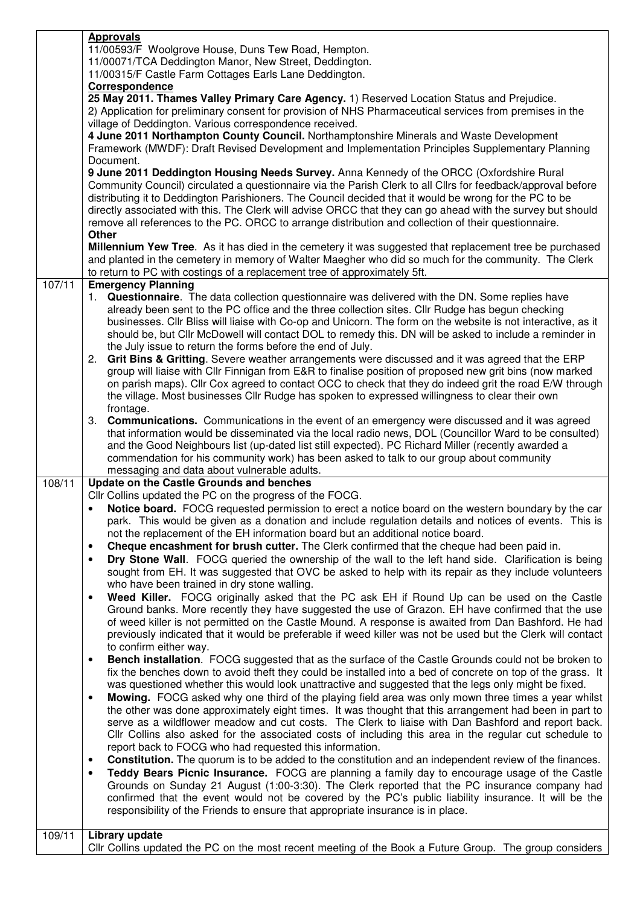|        | <b>Approvals</b>                                                                                                                                                                                                 |  |  |  |  |  |
|--------|------------------------------------------------------------------------------------------------------------------------------------------------------------------------------------------------------------------|--|--|--|--|--|
|        | 11/00593/F Woolgrove House, Duns Tew Road, Hempton.                                                                                                                                                              |  |  |  |  |  |
|        | 11/00071/TCA Deddington Manor, New Street, Deddington.                                                                                                                                                           |  |  |  |  |  |
|        | 11/00315/F Castle Farm Cottages Earls Lane Deddington.                                                                                                                                                           |  |  |  |  |  |
|        | Correspondence<br>25 May 2011. Thames Valley Primary Care Agency. 1) Reserved Location Status and Prejudice.                                                                                                     |  |  |  |  |  |
|        | 2) Application for preliminary consent for provision of NHS Pharmaceutical services from premises in the                                                                                                         |  |  |  |  |  |
|        | village of Deddington. Various correspondence received.                                                                                                                                                          |  |  |  |  |  |
|        | 4 June 2011 Northampton County Council. Northamptonshire Minerals and Waste Development                                                                                                                          |  |  |  |  |  |
|        | Framework (MWDF): Draft Revised Development and Implementation Principles Supplementary Planning                                                                                                                 |  |  |  |  |  |
|        | Document.                                                                                                                                                                                                        |  |  |  |  |  |
|        | 9 June 2011 Deddington Housing Needs Survey. Anna Kennedy of the ORCC (Oxfordshire Rural                                                                                                                         |  |  |  |  |  |
|        | Community Council) circulated a questionnaire via the Parish Clerk to all Cllrs for feedback/approval before                                                                                                     |  |  |  |  |  |
|        | distributing it to Deddington Parishioners. The Council decided that it would be wrong for the PC to be                                                                                                          |  |  |  |  |  |
|        | directly associated with this. The Clerk will advise ORCC that they can go ahead with the survey but should                                                                                                      |  |  |  |  |  |
|        | remove all references to the PC. ORCC to arrange distribution and collection of their questionnaire.                                                                                                             |  |  |  |  |  |
|        | Other                                                                                                                                                                                                            |  |  |  |  |  |
|        | <b>Millennium Yew Tree.</b> As it has died in the cemetery it was suggested that replacement tree be purchased                                                                                                   |  |  |  |  |  |
|        | and planted in the cemetery in memory of Walter Maegher who did so much for the community. The Clerk                                                                                                             |  |  |  |  |  |
|        | to return to PC with costings of a replacement tree of approximately 5ft.                                                                                                                                        |  |  |  |  |  |
| 107/11 | <b>Emergency Planning</b>                                                                                                                                                                                        |  |  |  |  |  |
|        | 1. Questionnaire. The data collection questionnaire was delivered with the DN. Some replies have                                                                                                                 |  |  |  |  |  |
|        | already been sent to the PC office and the three collection sites. Cllr Rudge has begun checking<br>businesses. Cllr Bliss will liaise with Co-op and Unicorn. The form on the website is not interactive, as it |  |  |  |  |  |
|        | should be, but Cllr McDowell will contact DOL to remedy this. DN will be asked to include a reminder in                                                                                                          |  |  |  |  |  |
|        | the July issue to return the forms before the end of July.                                                                                                                                                       |  |  |  |  |  |
|        | 2. Grit Bins & Gritting. Severe weather arrangements were discussed and it was agreed that the ERP                                                                                                               |  |  |  |  |  |
|        | group will liaise with Cllr Finnigan from E&R to finalise position of proposed new grit bins (now marked                                                                                                         |  |  |  |  |  |
|        | on parish maps). Cllr Cox agreed to contact OCC to check that they do indeed grit the road E/W through                                                                                                           |  |  |  |  |  |
|        | the village. Most businesses Cllr Rudge has spoken to expressed willingness to clear their own                                                                                                                   |  |  |  |  |  |
|        | frontage.                                                                                                                                                                                                        |  |  |  |  |  |
|        | 3. <b>Communications.</b> Communications in the event of an emergency were discussed and it was agreed                                                                                                           |  |  |  |  |  |
|        | that information would be disseminated via the local radio news, DOL (Councillor Ward to be consulted)                                                                                                           |  |  |  |  |  |
|        | and the Good Neighbours list (up-dated list still expected). PC Richard Miller (recently awarded a                                                                                                               |  |  |  |  |  |
|        | commendation for his community work) has been asked to talk to our group about community                                                                                                                         |  |  |  |  |  |
|        | messaging and data about vulnerable adults.                                                                                                                                                                      |  |  |  |  |  |
| 108/11 | Update on the Castle Grounds and benches                                                                                                                                                                         |  |  |  |  |  |
|        | Cllr Collins updated the PC on the progress of the FOCG.                                                                                                                                                         |  |  |  |  |  |
|        | Notice board. FOCG requested permission to erect a notice board on the western boundary by the car<br>$\bullet$                                                                                                  |  |  |  |  |  |
|        | park. This would be given as a donation and include regulation details and notices of events. This is<br>not the replacement of the EH information board but an additional notice board.                         |  |  |  |  |  |
|        | Cheque encashment for brush cutter. The Clerk confirmed that the cheque had been paid in.<br>$\bullet$                                                                                                           |  |  |  |  |  |
|        | Dry Stone Wall. FOCG queried the ownership of the wall to the left hand side. Clarification is being<br>$\bullet$                                                                                                |  |  |  |  |  |
|        | sought from EH. It was suggested that OVC be asked to help with its repair as they include volunteers                                                                                                            |  |  |  |  |  |
|        | who have been trained in dry stone walling.                                                                                                                                                                      |  |  |  |  |  |
|        | Weed Killer. FOCG originally asked that the PC ask EH if Round Up can be used on the Castle<br>$\bullet$                                                                                                         |  |  |  |  |  |
|        | Ground banks. More recently they have suggested the use of Grazon. EH have confirmed that the use                                                                                                                |  |  |  |  |  |
|        | of weed killer is not permitted on the Castle Mound. A response is awaited from Dan Bashford. He had                                                                                                             |  |  |  |  |  |
|        | previously indicated that it would be preferable if weed killer was not be used but the Clerk will contact                                                                                                       |  |  |  |  |  |
|        | to confirm either way.                                                                                                                                                                                           |  |  |  |  |  |
|        | Bench installation. FOCG suggested that as the surface of the Castle Grounds could not be broken to<br>$\bullet$                                                                                                 |  |  |  |  |  |
|        | fix the benches down to avoid theft they could be installed into a bed of concrete on top of the grass. It                                                                                                       |  |  |  |  |  |
|        | was questioned whether this would look unattractive and suggested that the legs only might be fixed.                                                                                                             |  |  |  |  |  |
|        | Mowing. FOCG asked why one third of the playing field area was only mown three times a year whilst<br>$\bullet$                                                                                                  |  |  |  |  |  |
|        | the other was done approximately eight times. It was thought that this arrangement had been in part to                                                                                                           |  |  |  |  |  |
|        | serve as a wildflower meadow and cut costs. The Clerk to liaise with Dan Bashford and report back.                                                                                                               |  |  |  |  |  |
|        | CIIr Collins also asked for the associated costs of including this area in the regular cut schedule to                                                                                                           |  |  |  |  |  |
|        | report back to FOCG who had requested this information.<br><b>Constitution.</b> The quorum is to be added to the constitution and an independent review of the finances.<br>$\bullet$                            |  |  |  |  |  |
|        | Teddy Bears Picnic Insurance. FOCG are planning a family day to encourage usage of the Castle<br>$\bullet$                                                                                                       |  |  |  |  |  |
|        | Grounds on Sunday 21 August (1:00-3:30). The Clerk reported that the PC insurance company had                                                                                                                    |  |  |  |  |  |
|        | confirmed that the event would not be covered by the PC's public liability insurance. It will be the                                                                                                             |  |  |  |  |  |
|        | responsibility of the Friends to ensure that appropriate insurance is in place.                                                                                                                                  |  |  |  |  |  |
|        |                                                                                                                                                                                                                  |  |  |  |  |  |
| 109/11 | Library update                                                                                                                                                                                                   |  |  |  |  |  |
|        | CIIr Collins updated the PC on the most recent meeting of the Book a Future Group. The group considers                                                                                                           |  |  |  |  |  |